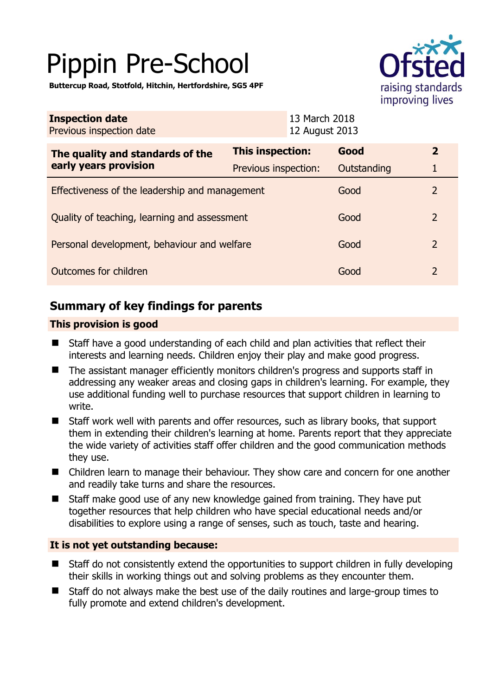# Pippin Pre-School

**Buttercup Road, Stotfold, Hitchin, Hertfordshire, SG5 4PF** 



| <b>Inspection date</b><br>Previous inspection date        |                      | 13 March 2018<br>12 August 2013 |                |  |
|-----------------------------------------------------------|----------------------|---------------------------------|----------------|--|
| The quality and standards of the<br>early years provision | This inspection:     | Good                            | $\mathbf{2}$   |  |
|                                                           | Previous inspection: | Outstanding                     |                |  |
| Effectiveness of the leadership and management            |                      | Good                            | 2              |  |
| Quality of teaching, learning and assessment              |                      | Good                            | $\overline{2}$ |  |
| Personal development, behaviour and welfare               |                      | Good                            | 2              |  |
| Outcomes for children                                     |                      | Good                            | 2              |  |

# **Summary of key findings for parents**

## **This provision is good**

- Staff have a good understanding of each child and plan activities that reflect their interests and learning needs. Children enjoy their play and make good progress.
- The assistant manager efficiently monitors children's progress and supports staff in addressing any weaker areas and closing gaps in children's learning. For example, they use additional funding well to purchase resources that support children in learning to write.
- Staff work well with parents and offer resources, such as library books, that support them in extending their children's learning at home. Parents report that they appreciate the wide variety of activities staff offer children and the good communication methods they use.
- Children learn to manage their behaviour. They show care and concern for one another and readily take turns and share the resources.
- Staff make good use of any new knowledge gained from training. They have put together resources that help children who have special educational needs and/or disabilities to explore using a range of senses, such as touch, taste and hearing.

## **It is not yet outstanding because:**

- Staff do not consistently extend the opportunities to support children in fully developing their skills in working things out and solving problems as they encounter them.
- Staff do not always make the best use of the daily routines and large-group times to fully promote and extend children's development.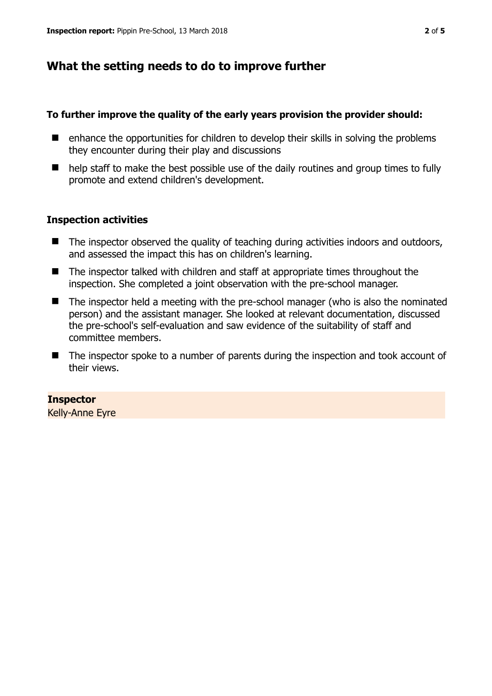# **What the setting needs to do to improve further**

#### **To further improve the quality of the early years provision the provider should:**

- $\blacksquare$  enhance the opportunities for children to develop their skills in solving the problems they encounter during their play and discussions
- help staff to make the best possible use of the daily routines and group times to fully promote and extend children's development.

### **Inspection activities**

- $\blacksquare$  The inspector observed the quality of teaching during activities indoors and outdoors, and assessed the impact this has on children's learning.
- The inspector talked with children and staff at appropriate times throughout the inspection. She completed a joint observation with the pre-school manager.
- The inspector held a meeting with the pre-school manager (who is also the nominated person) and the assistant manager. She looked at relevant documentation, discussed the pre-school's self-evaluation and saw evidence of the suitability of staff and committee members.
- The inspector spoke to a number of parents during the inspection and took account of their views.

## **Inspector**

Kelly-Anne Eyre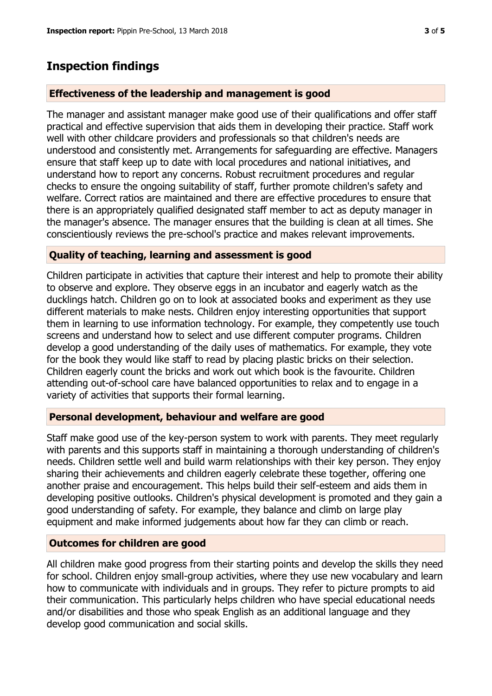## **Inspection findings**

#### **Effectiveness of the leadership and management is good**

The manager and assistant manager make good use of their qualifications and offer staff practical and effective supervision that aids them in developing their practice. Staff work well with other childcare providers and professionals so that children's needs are understood and consistently met. Arrangements for safeguarding are effective. Managers ensure that staff keep up to date with local procedures and national initiatives, and understand how to report any concerns. Robust recruitment procedures and regular checks to ensure the ongoing suitability of staff, further promote children's safety and welfare. Correct ratios are maintained and there are effective procedures to ensure that there is an appropriately qualified designated staff member to act as deputy manager in the manager's absence. The manager ensures that the building is clean at all times. She conscientiously reviews the pre-school's practice and makes relevant improvements.

#### **Quality of teaching, learning and assessment is good**

Children participate in activities that capture their interest and help to promote their ability to observe and explore. They observe eggs in an incubator and eagerly watch as the ducklings hatch. Children go on to look at associated books and experiment as they use different materials to make nests. Children enjoy interesting opportunities that support them in learning to use information technology. For example, they competently use touch screens and understand how to select and use different computer programs. Children develop a good understanding of the daily uses of mathematics. For example, they vote for the book they would like staff to read by placing plastic bricks on their selection. Children eagerly count the bricks and work out which book is the favourite. Children attending out-of-school care have balanced opportunities to relax and to engage in a variety of activities that supports their formal learning.

#### **Personal development, behaviour and welfare are good**

Staff make good use of the key-person system to work with parents. They meet regularly with parents and this supports staff in maintaining a thorough understanding of children's needs. Children settle well and build warm relationships with their key person. They enjoy sharing their achievements and children eagerly celebrate these together, offering one another praise and encouragement. This helps build their self-esteem and aids them in developing positive outlooks. Children's physical development is promoted and they gain a good understanding of safety. For example, they balance and climb on large play equipment and make informed judgements about how far they can climb or reach.

#### **Outcomes for children are good**

All children make good progress from their starting points and develop the skills they need for school. Children enjoy small-group activities, where they use new vocabulary and learn how to communicate with individuals and in groups. They refer to picture prompts to aid their communication. This particularly helps children who have special educational needs and/or disabilities and those who speak English as an additional language and they develop good communication and social skills.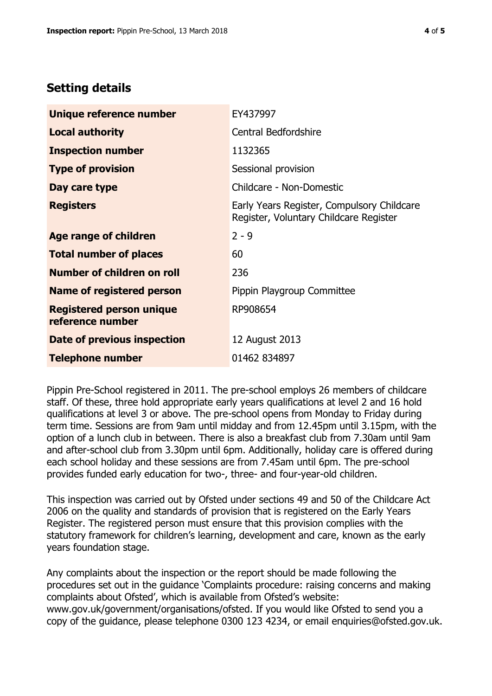# **Setting details**

| Unique reference number                             | EY437997                                                                             |  |
|-----------------------------------------------------|--------------------------------------------------------------------------------------|--|
| <b>Local authority</b>                              | <b>Central Bedfordshire</b>                                                          |  |
| <b>Inspection number</b>                            | 1132365                                                                              |  |
| <b>Type of provision</b>                            | Sessional provision                                                                  |  |
| Day care type                                       | Childcare - Non-Domestic                                                             |  |
| <b>Registers</b>                                    | Early Years Register, Compulsory Childcare<br>Register, Voluntary Childcare Register |  |
| Age range of children                               | $2 - 9$                                                                              |  |
| <b>Total number of places</b>                       | 60                                                                                   |  |
| Number of children on roll                          | 236                                                                                  |  |
| Name of registered person                           | Pippin Playgroup Committee                                                           |  |
| <b>Registered person unique</b><br>reference number | RP908654                                                                             |  |
| <b>Date of previous inspection</b>                  | 12 August 2013                                                                       |  |
| <b>Telephone number</b>                             | 01462 834897                                                                         |  |

Pippin Pre-School registered in 2011. The pre-school employs 26 members of childcare staff. Of these, three hold appropriate early years qualifications at level 2 and 16 hold qualifications at level 3 or above. The pre-school opens from Monday to Friday during term time. Sessions are from 9am until midday and from 12.45pm until 3.15pm, with the option of a lunch club in between. There is also a breakfast club from 7.30am until 9am and after-school club from 3.30pm until 6pm. Additionally, holiday care is offered during each school holiday and these sessions are from 7.45am until 6pm. The pre-school provides funded early education for two-, three- and four-year-old children.

This inspection was carried out by Ofsted under sections 49 and 50 of the Childcare Act 2006 on the quality and standards of provision that is registered on the Early Years Register. The registered person must ensure that this provision complies with the statutory framework for children's learning, development and care, known as the early years foundation stage.

Any complaints about the inspection or the report should be made following the procedures set out in the guidance 'Complaints procedure: raising concerns and making complaints about Ofsted', which is available from Ofsted's website: www.gov.uk/government/organisations/ofsted. If you would like Ofsted to send you a copy of the guidance, please telephone 0300 123 4234, or email enquiries@ofsted.gov.uk.